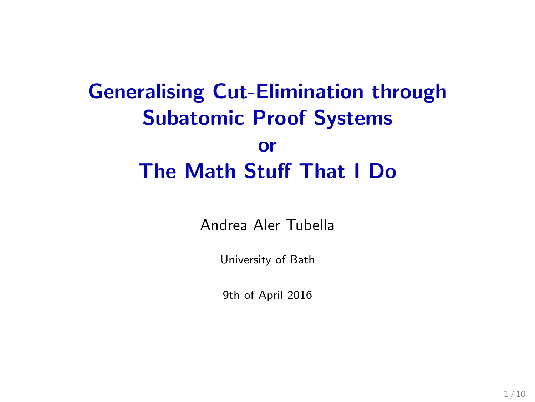# Generalising Cut-Elimination through Subatomic Proof Systems or The Math Stuff That I Do

Andrea Aler Tubella

University of Bath

9th of April 2016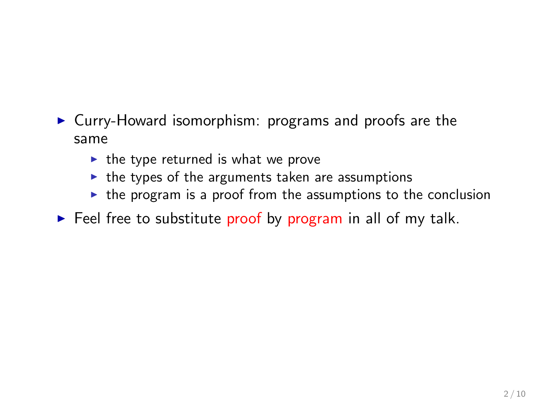- $\triangleright$  Curry-Howard isomorphism: programs and proofs are the same
	- $\blacktriangleright$  the type returned is what we prove
	- $\triangleright$  the types of the arguments taken are assumptions
	- $\triangleright$  the program is a proof from the assumptions to the conclusion
- $\triangleright$  Feel free to substitute proof by program in all of my talk.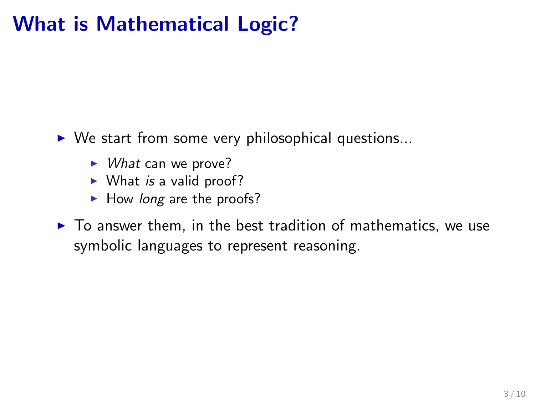# What is Mathematical Logic?

 $\triangleright$  We start from some very philosophical questions...

- $\triangleright$  What can we prove?
- $\triangleright$  What is a valid proof?
- $\blacktriangleright$  How long are the proofs?
- $\triangleright$  To answer them, in the best tradition of mathematics, we use symbolic languages to represent reasoning.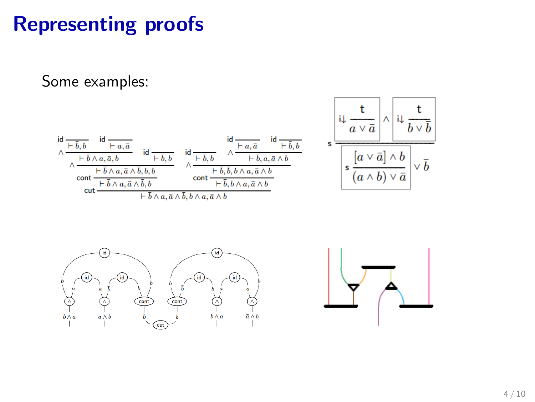# Representing proofs

Some examples:

$$
\frac{\frac{d}{\lambda} \frac{t}{\frac{t}{\overline{b}, b}} \frac{d}{\overline{b}, a, \overline{a}, \overline{b}}}{\frac{\lambda \frac{t}{\overline{b}, b}, a, \overline{a}, \overline{b}, \overline{b}}{\cot \frac{t}{\overline{b}, b}, a, \overline{a}, \overline{b}, \overline{b}, b}} \frac{\frac{d}{\overline{b}, \overline{a}, \overline{a}}}{\lambda \frac{t}{\overline{b}, \overline{b}, \overline{b}} \frac{d}{\overline{b}, \overline{b}, \overline{b}} \frac{d}{\overline{b}, \overline{b}, \overline{b}, a, \overline{a}, \overline{b}}}{\cot \frac{t}{\overline{b}, \overline{b}, a, \overline{a}, \overline{b}, \overline{b}, b}} \frac{\frac{d}{\overline{b}, a, \overline{a}} \frac{d}{\overline{b}, \overline{b}}}{\frac{t}{\overline{b}, a, \overline{a}, \overline{b}} \frac{d}{\overline{b}} \frac{d}{\overline{b}} \frac{d}{\overline{b}} \frac{d}{\overline{b}} \frac{d}{\overline{b}} \frac{d}{\overline{b}} \frac{d}{\overline{b}} \frac{d}{\overline{b}} \frac{d}{\overline{b}} \frac{d}{\overline{b}} \frac{d}{\overline{b}} \frac{d}{\overline{b}} \frac{d}{\overline{b}} \frac{d}{\overline{b}} \frac{d}{\overline{b}} \frac{d}{\overline{b}} \frac{d}{\overline{b}} \frac{d}{\overline{b}} \frac{d}{\overline{b}} \frac{d}{\overline{b}} \frac{d}{\overline{b}} \frac{d}{\overline{b}} \frac{d}{\overline{b}} \frac{d}{\overline{b}} \frac{d}{\overline{b}} \frac{d}{\overline{b}} \frac{d}{\overline{b}} \frac{d}{\overline{b}} \frac{d}{\overline{b}} \frac{d}{\overline{b}} \frac{d}{\overline{b}} \frac{d}{\overline{b}} \frac{d}{\overline{b}} \frac{d}{\overline{b}} \frac{d}{\overline{b}} \frac{d}{\overline{b}} \frac{d}{\overline{b}} \frac{d}{\overline
$$



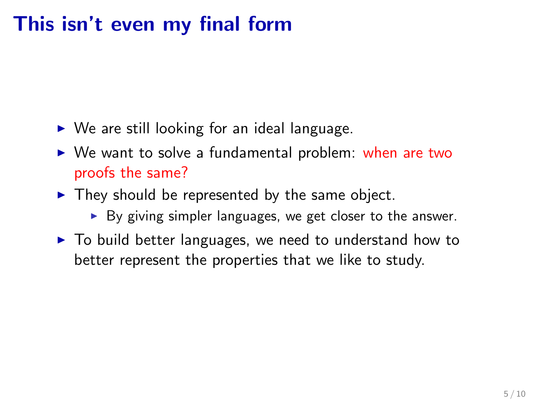# This isn't even my final form

- $\triangleright$  We are still looking for an ideal language.
- $\triangleright$  We want to solve a fundamental problem: when are two proofs the same?
- $\blacktriangleright$  They should be represented by the same object.
	- $\triangleright$  By giving simpler languages, we get closer to the answer.
- $\triangleright$  To build better languages, we need to understand how to better represent the properties that we like to study.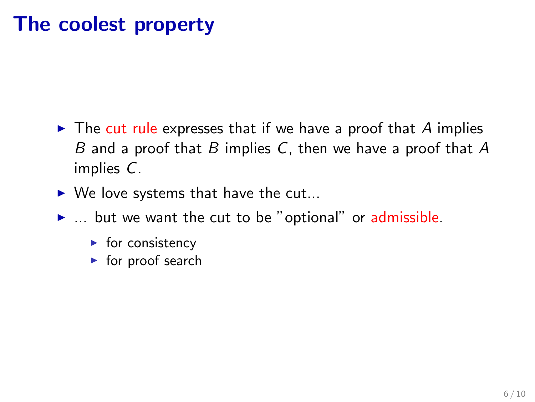#### The coolest property

- $\triangleright$  The cut rule expresses that if we have a proof that A implies B and a proof that B implies C, then we have a proof that  $A$ implies C.
- $\triangleright$  We love systems that have the cut...
- $\blacktriangleright$  ... but we want the cut to be "optional" or admissible.
	- $\blacktriangleright$  for consistency
	- $\triangleright$  for proof search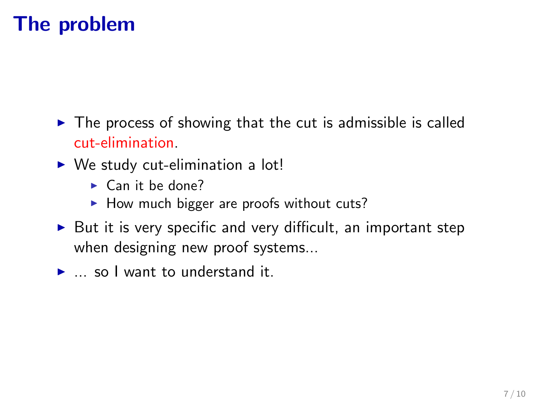#### The problem

- $\triangleright$  The process of showing that the cut is admissible is called cut-elimination.
- $\triangleright$  We study cut-elimination a lot!
	- $\blacktriangleright$  Can it be done?
	- $\blacktriangleright$  How much bigger are proofs without cuts?
- $\triangleright$  But it is very specific and very difficult, an important step when designing new proof systems...
- $\blacktriangleright$  ... so I want to understand it.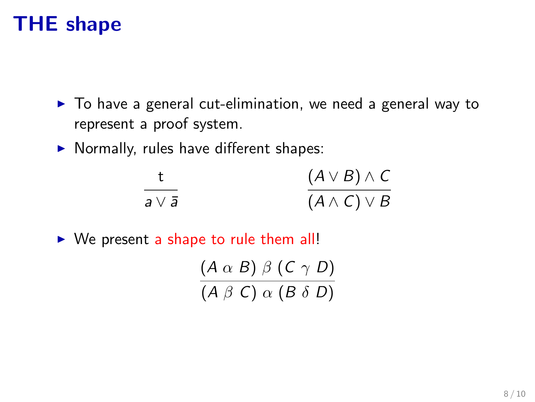## THE shape

- $\triangleright$  To have a general cut-elimination, we need a general way to represent a proof system.
- $\blacktriangleright$  Normally, rules have different shapes:

|                  | $(A \vee B) \wedge C$ |
|------------------|-----------------------|
| $a \vee \bar{a}$ | $(A \wedge C) \vee B$ |

 $\triangleright$  We present a shape to rule them all!

$$
\frac{(A \alpha B) \beta (C \gamma D)}{(A \beta C) \alpha (B \delta D)}
$$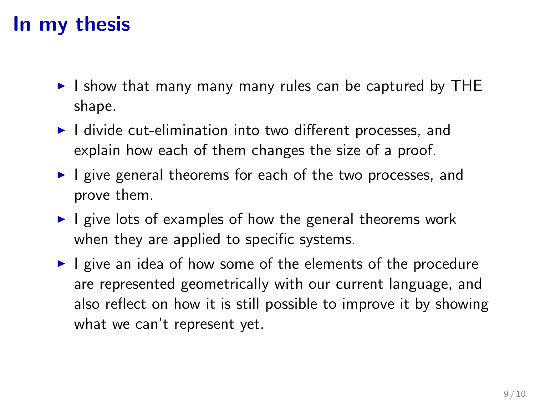# In my thesis

- $\triangleright$  I show that many many many rules can be captured by THE shape.
- $\blacktriangleright$  I divide cut-elimination into two different processes, and explain how each of them changes the size of a proof.
- $\blacktriangleright$  I give general theorems for each of the two processes, and prove them.
- $\blacktriangleright$  I give lots of examples of how the general theorems work when they are applied to specific systems.
- $\blacktriangleright$  I give an idea of how some of the elements of the procedure are represented geometrically with our current language, and also reflect on how it is still possible to improve it by showing what we can't represent yet.